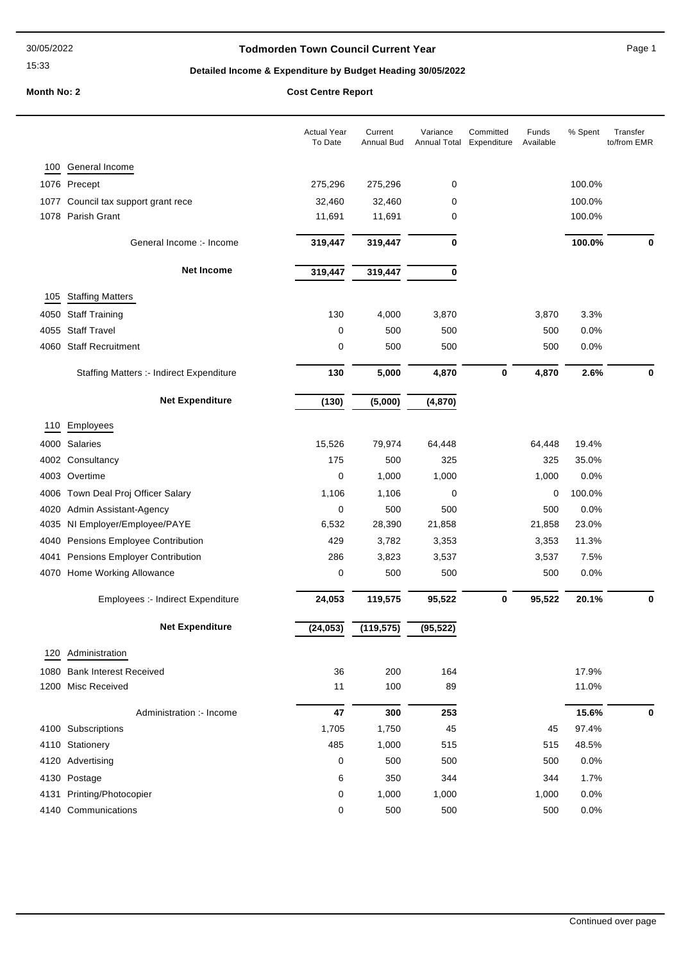#### 30/05/2022

### 15:33

### **Todmorden Town Council Current Year** Page 1

# **Detailed Income & Expenditure by Budget Heading 30/05/2022**

**Month No: 2 Cost Centre Report** 

|      |                                                 | <b>Actual Year</b><br>To Date | Current<br>Annual Bud | Variance<br>Annual Total | Committed<br>Expenditure | Funds<br>Available | % Spent | Transfer<br>to/from EMR |
|------|-------------------------------------------------|-------------------------------|-----------------------|--------------------------|--------------------------|--------------------|---------|-------------------------|
| 100  | General Income                                  |                               |                       |                          |                          |                    |         |                         |
|      | 1076 Precept                                    | 275,296                       | 275,296               | 0                        |                          |                    | 100.0%  |                         |
| 1077 | Council tax support grant rece                  | 32,460                        | 32,460                | 0                        |                          |                    | 100.0%  |                         |
| 1078 | Parish Grant                                    | 11,691                        | 11,691                | 0                        |                          |                    | 100.0%  |                         |
|      | General Income :- Income                        | 319,447                       | 319,447               | $\bf{0}$                 |                          |                    | 100.0%  | 0                       |
|      | <b>Net Income</b>                               | 319,447                       | 319,447               | 0                        |                          |                    |         |                         |
| 105  | <b>Staffing Matters</b>                         |                               |                       |                          |                          |                    |         |                         |
| 4050 | <b>Staff Training</b>                           | 130                           | 4,000                 | 3,870                    |                          | 3,870              | 3.3%    |                         |
| 4055 | <b>Staff Travel</b>                             | 0                             | 500                   | 500                      |                          | 500                | 0.0%    |                         |
| 4060 | <b>Staff Recruitment</b>                        | 0                             | 500                   | 500                      |                          | 500                | 0.0%    |                         |
|      |                                                 | 130                           | 5,000                 | 4,870                    | $\bf{0}$                 | 4,870              | 2.6%    | $\mathbf 0$             |
|      | <b>Staffing Matters :- Indirect Expenditure</b> |                               |                       |                          |                          |                    |         |                         |
|      | <b>Net Expenditure</b>                          | (130)                         | (5,000)               | (4, 870)                 |                          |                    |         |                         |
| 110  | Employees                                       |                               |                       |                          |                          |                    |         |                         |
| 4000 | Salaries                                        | 15,526                        | 79,974                | 64,448                   |                          | 64,448             | 19.4%   |                         |
| 4002 | Consultancy                                     | 175                           | 500                   | 325                      |                          | 325                | 35.0%   |                         |
| 4003 | Overtime                                        | 0                             | 1,000                 | 1,000                    |                          | 1,000              | 0.0%    |                         |
| 4006 | Town Deal Proj Officer Salary                   | 1,106                         | 1,106                 | 0                        |                          | 0                  | 100.0%  |                         |
| 4020 | Admin Assistant-Agency                          | 0                             | 500                   | 500                      |                          | 500                | 0.0%    |                         |
| 4035 | NI Employer/Employee/PAYE                       | 6,532                         | 28,390                | 21,858                   |                          | 21,858             | 23.0%   |                         |
| 4040 | Pensions Employee Contribution                  | 429                           | 3,782                 | 3,353                    |                          | 3,353              | 11.3%   |                         |
| 4041 | Pensions Employer Contribution                  | 286                           | 3,823                 | 3,537                    |                          | 3,537              | 7.5%    |                         |
| 4070 | Home Working Allowance                          | 0                             | 500                   | 500                      |                          | 500                | 0.0%    |                         |
|      | Employees :- Indirect Expenditure               | 24,053                        | 119,575               | 95,522                   | $\bf{0}$                 | 95,522             | 20.1%   | 0                       |
|      | <b>Net Expenditure</b>                          | (24, 053)                     | (119, 575)            | (95, 522)                |                          |                    |         |                         |
| 120  | Administration                                  |                               |                       |                          |                          |                    |         |                         |
|      | 1080 Bank Interest Received                     | 36                            | 200                   | 164                      |                          |                    | 17.9%   |                         |
|      | 1200 Misc Received                              | 11                            | 100                   | 89                       |                          |                    | 11.0%   |                         |
|      |                                                 |                               |                       |                          |                          |                    |         |                         |
|      | Administration :- Income                        | 47                            | 300                   | 253                      |                          |                    | 15.6%   | 0                       |
|      | 4100 Subscriptions                              | 1,705                         | 1,750                 | 45                       |                          | 45                 | 97.4%   |                         |
|      | 4110 Stationery                                 | 485                           | 1,000                 | 515                      |                          | 515                | 48.5%   |                         |
|      | 4120 Advertising                                | 0                             | 500                   | 500                      |                          | 500                | 0.0%    |                         |
|      | 4130 Postage                                    | 6                             | 350                   | 344                      |                          | 344                | 1.7%    |                         |
|      | 4131 Printing/Photocopier                       | 0                             | 1,000                 | 1,000                    |                          | 1,000              | 0.0%    |                         |
|      | 4140 Communications                             | 0                             | 500                   | 500                      |                          | 500                | 0.0%    |                         |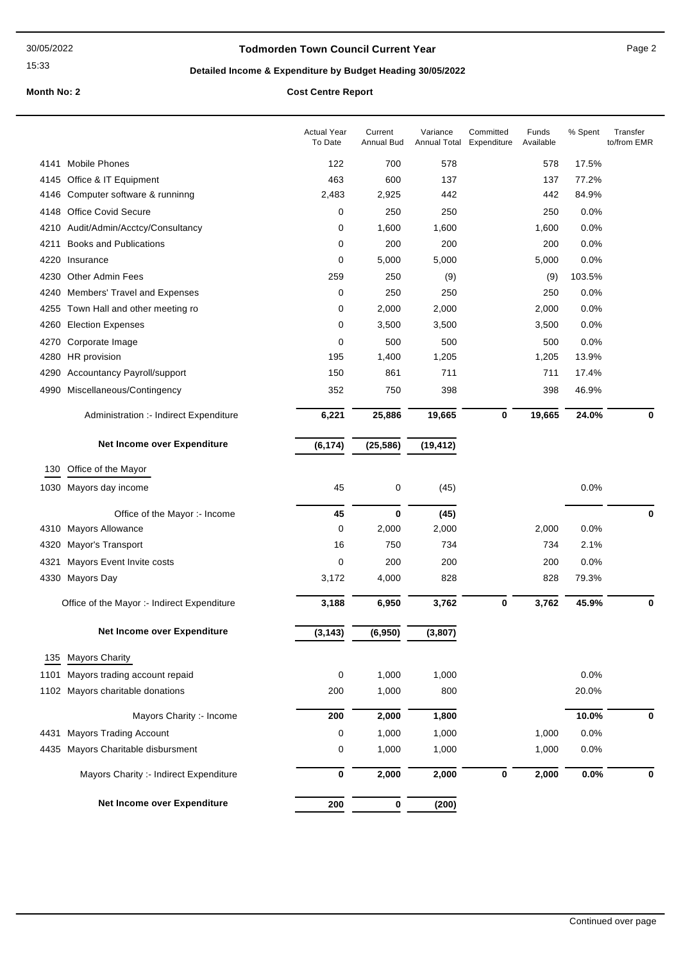15:33

### **Todmorden Town Council Current Year** Page 2

# **Detailed Income & Expenditure by Budget Heading 30/05/2022**

# **Month No: 2 Cost Centre Report**

|      |                                             | <b>Actual Year</b><br>To Date | Current<br>Annual Bud | Variance<br>Annual Total | Committed<br>Expenditure | Funds<br>Available | % Spent | Transfer<br>to/from EMR |
|------|---------------------------------------------|-------------------------------|-----------------------|--------------------------|--------------------------|--------------------|---------|-------------------------|
| 4141 | <b>Mobile Phones</b>                        | 122                           | 700                   | 578                      |                          | 578                | 17.5%   |                         |
|      | 4145 Office & IT Equipment                  | 463                           | 600                   | 137                      |                          | 137                | 77.2%   |                         |
| 4146 | Computer software & runninng                | 2,483                         | 2,925                 | 442                      |                          | 442                | 84.9%   |                         |
| 4148 | <b>Office Covid Secure</b>                  | 0                             | 250                   | 250                      |                          | 250                | 0.0%    |                         |
|      | 4210 Audit/Admin/Acctcy/Consultancy         | 0                             | 1,600                 | 1,600                    |                          | 1,600              | 0.0%    |                         |
| 4211 | <b>Books and Publications</b>               | 0                             | 200                   | 200                      |                          | 200                | 0.0%    |                         |
|      | 4220 Insurance                              | 0                             | 5,000                 | 5,000                    |                          | 5,000              | 0.0%    |                         |
|      | 4230 Other Admin Fees                       | 259                           | 250                   | (9)                      |                          | (9)                | 103.5%  |                         |
| 4240 | Members' Travel and Expenses                | 0                             | 250                   | 250                      |                          | 250                | 0.0%    |                         |
| 4255 | Town Hall and other meeting ro              | 0                             | 2,000                 | 2,000                    |                          | 2,000              | 0.0%    |                         |
|      | 4260 Election Expenses                      | 0                             | 3,500                 | 3,500                    |                          | 3,500              | 0.0%    |                         |
| 4270 | Corporate Image                             | 0                             | 500                   | 500                      |                          | 500                | 0.0%    |                         |
| 4280 | HR provision                                | 195                           | 1,400                 | 1,205                    |                          | 1,205              | 13.9%   |                         |
| 4290 | <b>Accountancy Payroll/support</b>          | 150                           | 861                   | 711                      |                          | 711                | 17.4%   |                         |
|      | 4990 Miscellaneous/Contingency              | 352                           | 750                   | 398                      |                          | 398                | 46.9%   |                         |
|      | Administration :- Indirect Expenditure      | 6,221                         | 25,886                | 19,665                   | $\bf{0}$                 | 19,665             | 24.0%   | 0                       |
|      | Net Income over Expenditure                 | (6, 174)                      | (25, 586)             | (19, 412)                |                          |                    |         |                         |
| 130  | Office of the Mayor                         |                               |                       |                          |                          |                    |         |                         |
|      | 1030 Mayors day income                      | 45                            | 0                     | (45)                     |                          |                    | 0.0%    |                         |
|      | Office of the Mayor :- Income               | 45                            | $\bf{0}$              | (45)                     |                          |                    |         | $\bf{0}$                |
| 4310 | <b>Mayors Allowance</b>                     | 0                             | 2,000                 | 2,000                    |                          | 2,000              | 0.0%    |                         |
| 4320 | Mayor's Transport                           | 16                            | 750                   | 734                      |                          | 734                | 2.1%    |                         |
| 4321 | Mayors Event Invite costs                   | 0                             | 200                   | 200                      |                          | 200                | 0.0%    |                         |
|      | 4330 Mayors Day                             | 3,172                         | 4,000                 | 828                      |                          | 828                | 79.3%   |                         |
|      | Office of the Mayor :- Indirect Expenditure | 3,188                         | 6,950                 | 3,762                    | 0                        | 3,762              | 45.9%   | 0                       |
|      | <b>Net Income over Expenditure</b>          | (3, 143)                      | (6,950)               | (3, 807)                 |                          |                    |         |                         |
|      |                                             |                               |                       |                          |                          |                    |         |                         |
| 135  | <b>Mayors Charity</b>                       |                               |                       |                          |                          |                    |         |                         |
| 1101 | Mayors trading account repaid               | 0                             | 1,000                 | 1,000                    |                          |                    | 0.0%    |                         |
|      | 1102 Mayors charitable donations            | 200                           | 1,000                 | 800                      |                          |                    | 20.0%   |                         |
|      | Mayors Charity :- Income                    | 200                           | 2,000                 | 1,800                    |                          |                    | 10.0%   | 0                       |
| 4431 | <b>Mayors Trading Account</b>               | 0                             | 1,000                 | 1,000                    |                          | 1,000              | 0.0%    |                         |
| 4435 | Mayors Charitable disbursment               | 0                             | 1,000                 | 1,000                    |                          | 1,000              | 0.0%    |                         |
|      | Mayors Charity :- Indirect Expenditure      | 0                             | 2,000                 | 2,000                    | $\pmb{0}$                | 2,000              | 0.0%    | 0                       |
|      | Net Income over Expenditure                 | 200                           | 0                     | (200)                    |                          |                    |         |                         |
|      |                                             |                               |                       |                          |                          |                    |         |                         |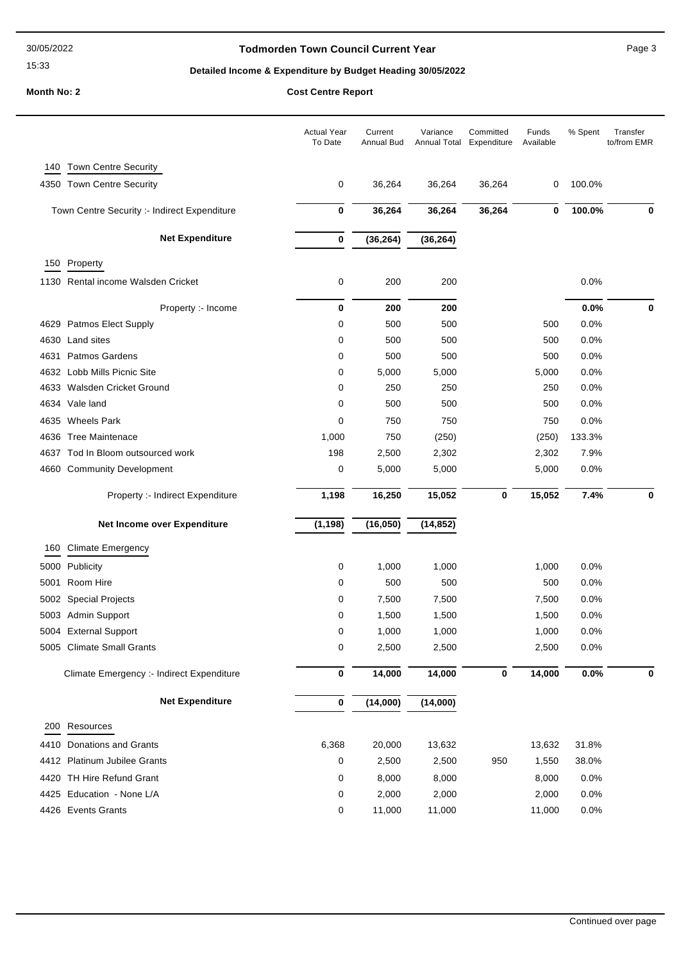#### 30/05/2022

# 15:33

### **Todmorden Town Council Current Year** Page 3

# **Detailed Income & Expenditure by Budget Heading 30/05/2022**

# **Month No: 2 Cost Centre R**

|  | <b>COST Centre Report</b> |
|--|---------------------------|
|  |                           |

|              |                                                      | <b>Actual Year</b><br>To Date | Current<br>Annual Bud | Variance<br>Annual Total | Committed<br>Expenditure | Funds<br>Available | % Spent      | Transfer<br>to/from EMR |
|--------------|------------------------------------------------------|-------------------------------|-----------------------|--------------------------|--------------------------|--------------------|--------------|-------------------------|
| 140          | Town Centre Security                                 |                               |                       |                          |                          |                    |              |                         |
|              | 4350 Town Centre Security                            | 0                             | 36,264                | 36,264                   | 36,264                   | 0                  | 100.0%       |                         |
|              | Town Centre Security :- Indirect Expenditure         | 0                             | 36,264                | 36,264                   | 36,264                   | 0                  | 100.0%       | $\bf{0}$                |
|              | <b>Net Expenditure</b>                               | 0                             | (36, 264)             | (36, 264)                |                          |                    |              |                         |
|              | 150 Property                                         |                               |                       |                          |                          |                    |              |                         |
|              | 1130 Rental income Walsden Cricket                   | 0                             | 200                   | 200                      |                          |                    | 0.0%         |                         |
|              |                                                      |                               |                       |                          |                          |                    |              |                         |
|              | Property :- Income                                   | 0                             | 200                   | 200                      |                          |                    | 0.0%         | 0                       |
|              | 4629 Patmos Elect Supply                             | 0                             | 500                   | 500                      |                          | 500                | 0.0%         |                         |
| 4630         | Land sites                                           | 0                             | 500                   | 500                      |                          | 500                | 0.0%         |                         |
| 4631         | <b>Patmos Gardens</b><br>4632 Lobb Mills Picnic Site | 0                             | 500                   | 500                      |                          | 500                | 0.0%         |                         |
|              |                                                      | 0                             | 5,000                 | 5,000                    |                          | 5,000              | 0.0%         |                         |
| 4633<br>4634 | Walsden Cricket Ground<br>Vale land                  | 0<br>0                        | 250                   | 250<br>500               |                          | 250<br>500         | 0.0%<br>0.0% |                         |
|              |                                                      |                               | 500                   |                          |                          |                    |              |                         |
| 4635         | <b>Wheels Park</b>                                   | 0                             | 750                   | 750                      |                          | 750                | 0.0%         |                         |
| 4636         | <b>Tree Maintenace</b>                               | 1,000                         | 750                   | (250)                    |                          | (250)              | 133.3%       |                         |
| 4637         | Tod In Bloom outsourced work                         | 198                           | 2,500<br>5,000        | 2,302<br>5,000           |                          | 2,302              | 7.9%<br>0.0% |                         |
|              | 4660 Community Development                           | 0                             |                       |                          |                          | 5,000              |              |                         |
|              | Property :- Indirect Expenditure                     | 1,198                         | 16,250                | 15,052                   | $\bf{0}$                 | 15,052             | 7.4%         | $\mathbf 0$             |
|              | Net Income over Expenditure                          | (1, 198)                      | (16, 050)             | (14, 852)                |                          |                    |              |                         |
| 160          | <b>Climate Emergency</b>                             |                               |                       |                          |                          |                    |              |                         |
| 5000         | Publicity                                            | 0                             | 1,000                 | 1,000                    |                          | 1,000              | 0.0%         |                         |
| 5001         | Room Hire                                            | 0                             | 500                   | 500                      |                          | 500                | 0.0%         |                         |
| 5002         | <b>Special Projects</b>                              | 0                             | 7,500                 | 7,500                    |                          | 7,500              | 0.0%         |                         |
|              | 5003 Admin Support                                   | 0                             | 1,500                 | 1,500                    |                          | 1,500              | 0.0%         |                         |
|              | 5004 External Support                                | 0                             | 1,000                 | 1,000                    |                          | 1,000              | 0.0%         |                         |
|              | 5005 Climate Small Grants                            | 0                             | 2,500                 | 2,500                    |                          | 2,500              | 0.0%         |                         |
|              | Climate Emergency :- Indirect Expenditure            | $\bf{0}$                      | 14,000                | 14,000                   | $\pmb{0}$                | 14,000             | 0.0%         | 0                       |
|              | <b>Net Expenditure</b>                               | $\bf{0}$                      | (14,000)              | (14,000)                 |                          |                    |              |                         |
|              | 200 Resources                                        |                               |                       |                          |                          |                    |              |                         |
| 4410         | Donations and Grants                                 | 6,368                         | 20,000                | 13,632                   |                          | 13,632             | 31.8%        |                         |
|              | 4412 Platinum Jubilee Grants                         | 0                             | 2,500                 | 2,500                    | 950                      | 1,550              | 38.0%        |                         |
|              | 4420 TH Hire Refund Grant                            | 0                             | 8,000                 | 8,000                    |                          | 8,000              | 0.0%         |                         |
|              | 4425 Education - None L/A                            | 0                             | 2,000                 | 2,000                    |                          | 2,000              | 0.0%         |                         |
|              | 4426 Events Grants                                   | 0                             | 11,000                | 11,000                   |                          | 11,000             | 0.0%         |                         |
|              |                                                      |                               |                       |                          |                          |                    |              |                         |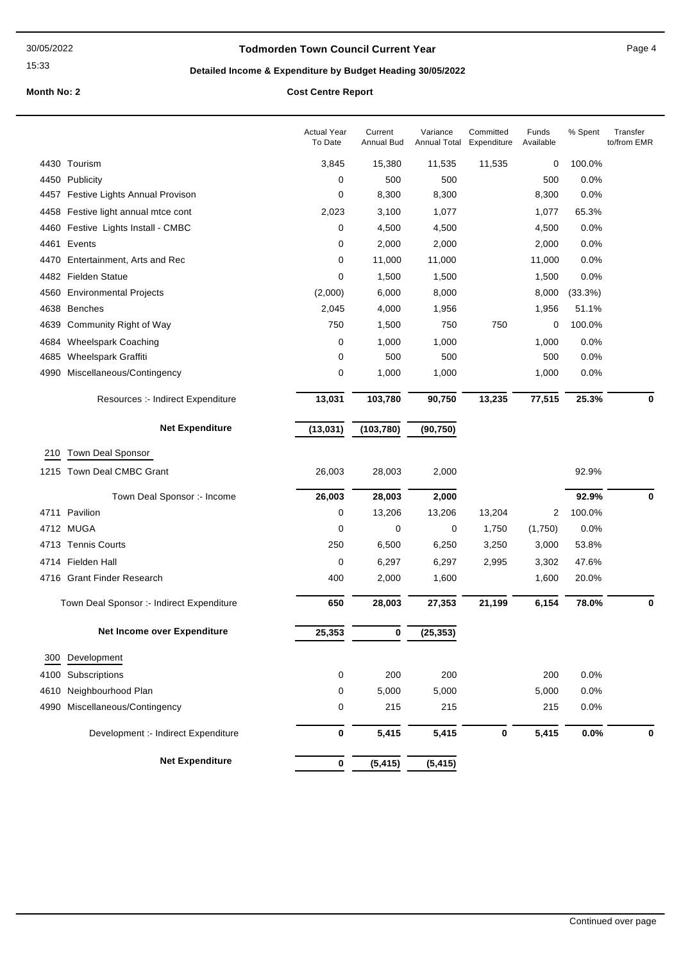15:33

### **Todmorden Town Council Current Year** Page 4

# **Detailed Income & Expenditure by Budget Heading 30/05/2022**

### **Month No: 2 Cost Centre Report**

|      |                                           | <b>Actual Year</b><br>To Date | Current<br><b>Annual Bud</b> | Variance<br><b>Annual Total</b> | Committed<br>Expenditure | Funds<br>Available | % Spent | Transfer<br>to/from EMR |
|------|-------------------------------------------|-------------------------------|------------------------------|---------------------------------|--------------------------|--------------------|---------|-------------------------|
|      | 4430 Tourism                              | 3,845                         | 15,380                       | 11,535                          | 11,535                   | 0                  | 100.0%  |                         |
|      | 4450 Publicity                            | 0                             | 500                          | 500                             |                          | 500                | 0.0%    |                         |
|      | 4457 Festive Lights Annual Provison       | 0                             | 8,300                        | 8,300                           |                          | 8,300              | 0.0%    |                         |
| 4458 | Festive light annual mtce cont            | 2,023                         | 3,100                        | 1,077                           |                          | 1,077              | 65.3%   |                         |
| 4460 | Festive Lights Install - CMBC             | 0                             | 4,500                        | 4,500                           |                          | 4,500              | 0.0%    |                         |
|      | 4461 Events                               | 0                             | 2,000                        | 2,000                           |                          | 2,000              | 0.0%    |                         |
| 4470 | Entertainment, Arts and Rec               | 0                             | 11,000                       | 11,000                          |                          | 11,000             | 0.0%    |                         |
|      | 4482 Fielden Statue                       | 0                             | 1,500                        | 1,500                           |                          | 1,500              | 0.0%    |                         |
| 4560 | <b>Environmental Projects</b>             | (2,000)                       | 6,000                        | 8,000                           |                          | 8,000              | (33.3%) |                         |
| 4638 | <b>Benches</b>                            | 2,045                         | 4,000                        | 1,956                           |                          | 1,956              | 51.1%   |                         |
| 4639 | Community Right of Way                    | 750                           | 1,500                        | 750                             | 750                      | 0                  | 100.0%  |                         |
| 4684 | <b>Wheelspark Coaching</b>                | 0                             | 1,000                        | 1,000                           |                          | 1,000              | 0.0%    |                         |
| 4685 | Wheelspark Graffiti                       | 0                             | 500                          | 500                             |                          | 500                | 0.0%    |                         |
| 4990 | Miscellaneous/Contingency                 | 0                             | 1,000                        | 1,000                           |                          | 1,000              | 0.0%    |                         |
|      | Resources :- Indirect Expenditure         | 13,031                        | 103,780                      | 90,750                          | 13,235                   | 77,515             | 25.3%   | 0                       |
|      | <b>Net Expenditure</b>                    | (13, 031)                     | (103, 780)                   | (90, 750)                       |                          |                    |         |                         |
| 210  | Town Deal Sponsor                         |                               |                              |                                 |                          |                    |         |                         |
|      | 1215 Town Deal CMBC Grant                 | 26,003                        | 28,003                       | 2,000                           |                          |                    | 92.9%   |                         |
|      | Town Deal Sponsor :- Income               | 26,003                        | 28,003                       | 2,000                           |                          |                    | 92.9%   | 0                       |
|      | 4711 Pavilion                             | 0                             | 13,206                       | 13,206                          | 13,204                   | 2                  | 100.0%  |                         |
|      | 4712 MUGA                                 | $\mathbf 0$                   | 0                            | 0                               | 1,750                    | (1,750)            | 0.0%    |                         |
|      | 4713 Tennis Courts                        | 250                           | 6,500                        | 6,250                           | 3,250                    | 3,000              | 53.8%   |                         |
|      | 4714 Fielden Hall                         | 0                             | 6,297                        | 6,297                           | 2,995                    | 3,302              | 47.6%   |                         |
|      | 4716 Grant Finder Research                | 400                           | 2,000                        | 1,600                           |                          | 1,600              | 20.0%   |                         |
|      | Town Deal Sponsor :- Indirect Expenditure | 650                           | 28,003                       | 27,353                          | 21,199                   | 6,154              | 78.0%   | 0                       |
|      | Net Income over Expenditure               | 25,353                        | $\bf{0}$                     | (25, 353)                       |                          |                    |         |                         |
| 300  | Development                               |                               |                              |                                 |                          |                    |         |                         |
| 4100 | Subscriptions                             | 0                             | 200                          | 200                             |                          | 200                | 0.0%    |                         |
| 4610 | Neighbourhood Plan                        | 0                             | 5,000                        | 5,000                           |                          | 5,000              | 0.0%    |                         |
| 4990 | Miscellaneous/Contingency                 | 0                             | 215                          | 215                             |                          | 215                | 0.0%    |                         |
|      | Development :- Indirect Expenditure       | 0                             | 5,415                        | 5,415                           | $\bf{0}$                 | 5,415              | 0.0%    | $\mathbf 0$             |
|      | <b>Net Expenditure</b>                    | 0                             | (5, 415)                     | (5, 415)                        |                          |                    |         |                         |